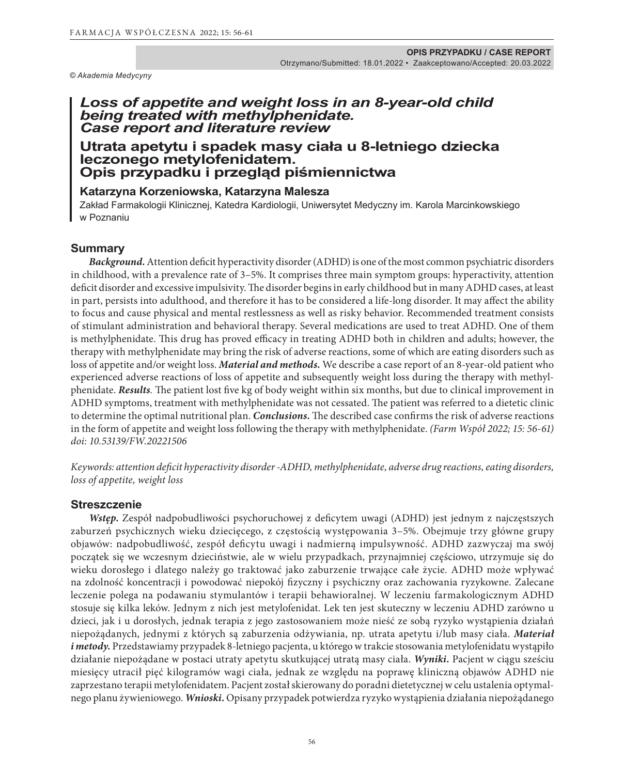*© Akademia Medycyny*

## *Loss of appetite and weight loss in an 8-year-old child being treated with methylphenidate. Case report and literature review*

# **Utrata apetytu i spadek masy ciała u 8-letniego dziecka leczonego metylofenidatem. Opis przypadku i przegląd piśmiennictwa**

# **Katarzyna Korzeniowska, Katarzyna Malesza**

Zakład Farmakologii Klinicznej, Katedra Kardiologii, Uniwersytet Medyczny im. Karola Marcinkowskiego w Poznaniu

### **Summary**

*Background.*Attention deficit hyperactivity disorder (ADHD) is one of the most common psychiatric disorders in childhood, with a prevalence rate of 3–5%. It comprises three main symptom groups: hyperactivity, attention deficit disorder and excessive impulsivity. The disorder begins in early childhood but in many ADHD cases, at least in part, persists into adulthood, and therefore it has to be considered a life-long disorder. It may affect the ability to focus and cause physical and mental restlessness as well as risky behavior. Recommended treatment consists of stimulant administration and behavioral therapy. Several medications are used to treat ADHD. One of them is methylphenidate. This drug has proved efficacy in treating ADHD both in children and adults; however, the therapy with methylphenidate may bring the risk of adverse reactions, some of which are eating disorders such as loss of appetite and/or weight loss. *Material and methods.* We describe a case report of an 8-year-old patient who experienced adverse reactions of loss of appetite and subsequently weight loss during the therapy with methylphenidate. *Results.* The patient lost five kg of body weight within six months, but due to clinical improvement in ADHD symptoms, treatment with methylphenidate was not cessated. The patient was referred to a dietetic clinic to determine the optimal nutritional plan. *Conclusions.* The described case confirms the risk of adverse reactions in the form of appetite and weight loss following the therapy with methylphenidate. *(Farm Współ 2022; 15: 56-61) doi: 10.53139/FW.20221506*

*Keywords: attention deficit hyperactivity disorder -ADHD, methylphenidate, adverse drug reactions, eating disorders, loss of appetite, weight loss* 

#### **Streszczenie**

*Wstęp.* Zespół nadpobudliwości psychoruchowej z deficytem uwagi (ADHD) jest jednym z najczęstszych zaburzeń psychicznych wieku dziecięcego, z częstością występowania 3–5%. Obejmuje trzy główne grupy objawów: nadpobudliwość, zespół deficytu uwagi i nadmierną impulsywność. ADHD zazwyczaj ma swój początek się we wczesnym dzieciństwie, ale w wielu przypadkach, przynajmniej częściowo, utrzymuje się do wieku dorosłego i dlatego należy go traktować jako zaburzenie trwające całe życie. ADHD może wpływać na zdolność koncentracji i powodować niepokój fizyczny i psychiczny oraz zachowania ryzykowne. Zalecane leczenie polega na podawaniu stymulantów i terapii behawioralnej. W leczeniu farmakologicznym ADHD stosuje się kilka leków. Jednym z nich jest metylofenidat. Lek ten jest skuteczny w leczeniu ADHD zarówno u dzieci, jak i u dorosłych, jednak terapia z jego zastosowaniem może nieść ze sobą ryzyko wystąpienia działań niepożądanych, jednymi z których są zaburzenia odżywiania, np. utrata apetytu i/lub masy ciała. *Materiał i metody.* Przedstawiamy przypadek 8-letniego pacjenta, u którego w trakcie stosowania metylofenidatu wystąpiło działanie niepożądane w postaci utraty apetytu skutkującej utratą masy ciała. *Wyniki.* Pacjent w ciągu sześciu miesięcy utracił pięć kilogramów wagi ciała, jednak ze względu na poprawę kliniczną objawów ADHD nie zaprzestano terapii metylofenidatem. Pacjent został skierowany do poradni dietetycznej w celu ustalenia optymalnego planu żywieniowego. *Wnioski.* Opisany przypadek potwierdza ryzyko wystąpienia działania niepożądanego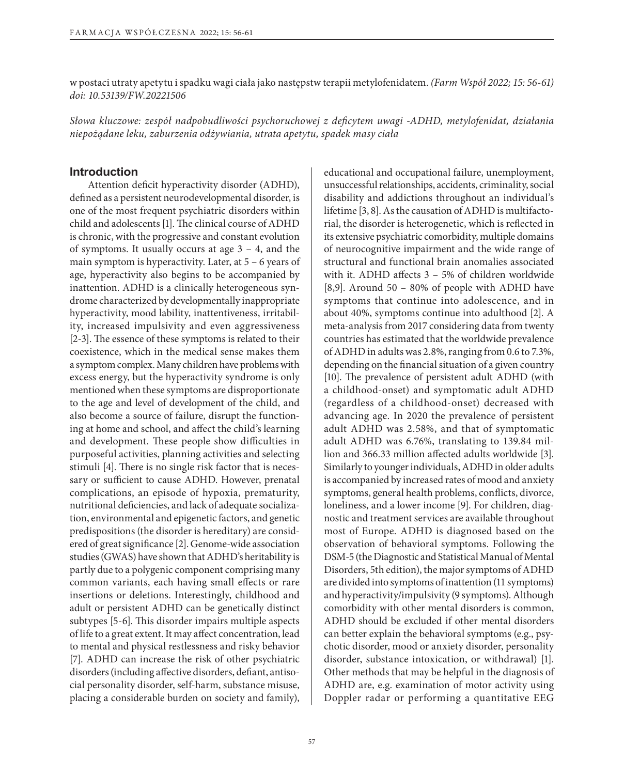w postaci utraty apetytu i spadku wagi ciała jako następstw terapii metylofenidatem. *(Farm Współ 2022; 15: 56-61) doi: 10.53139/FW.20221506*

*Słowa kluczowe: zespół nadpobudliwości psychoruchowej z deficytem uwagi -ADHD, metylofenidat, działania niepożądane leku, zaburzenia odżywiania, utrata apetytu, spadek masy ciała*

### **Introduction**

Attention deficit hyperactivity disorder (ADHD), defined as a persistent neurodevelopmental disorder, is one of the most frequent psychiatric disorders within child and adolescents [1]. The clinical course of ADHD is chronic, with the progressive and constant evolution of symptoms. It usually occurs at age  $3 - 4$ , and the main symptom is hyperactivity. Later, at 5 – 6 years of age, hyperactivity also begins to be accompanied by inattention. ADHD is a clinically heterogeneous syndrome characterized by developmentally inappropriate hyperactivity, mood lability, inattentiveness, irritability, increased impulsivity and even aggressiveness [2-3]. The essence of these symptoms is related to their coexistence, which in the medical sense makes them a symptom complex. Many children have problems with excess energy, but the hyperactivity syndrome is only mentioned when these symptoms are disproportionate to the age and level of development of the child, and also become a source of failure, disrupt the functioning at home and school, and affect the child's learning and development. These people show difficulties in purposeful activities, planning activities and selecting stimuli [4]. There is no single risk factor that is necessary or sufficient to cause ADHD. However, prenatal complications, an episode of hypoxia, prematurity, nutritional deficiencies, and lack of adequate socialization, environmental and epigenetic factors, and genetic predispositions (the disorder is hereditary) are considered of great significance [2]. Genome-wide association studies (GWAS) have shown that ADHD's heritability is partly due to a polygenic component comprising many common variants, each having small effects or rare insertions or deletions. Interestingly, childhood and adult or persistent ADHD can be genetically distinct subtypes [5-6]. This disorder impairs multiple aspects of life to a great extent. It may affect concentration, lead to mental and physical restlessness and risky behavior [7]. ADHD can increase the risk of other psychiatric disorders (including affective disorders, defiant, antisocial personality disorder, self-harm, substance misuse, placing a considerable burden on society and family),

educational and occupational failure, unemployment, unsuccessful relationships, accidents, criminality, social disability and addictions throughout an individual's lifetime [3, 8]. As the causation of ADHD is multifactorial, the disorder is heterogenetic, which is reflected in its extensive psychiatric comorbidity, multiple domains of neurocognitive impairment and the wide range of structural and functional brain anomalies associated with it. ADHD affects 3 – 5% of children worldwide [8,9]. Around 50 – 80% of people with ADHD have symptoms that continue into adolescence, and in about 40%, symptoms continue into adulthood [2]. A meta-analysis from 2017 considering data from twenty countries has estimated that the worldwide prevalence of ADHD in adults was 2.8%, ranging from 0.6 to 7.3%, depending on the financial situation of a given country [10]. The prevalence of persistent adult ADHD (with a childhood-onset) and symptomatic adult ADHD (regardless of a childhood-onset) decreased with advancing age. In 2020 the prevalence of persistent adult ADHD was 2.58%, and that of symptomatic adult ADHD was 6.76%, translating to 139.84 million and 366.33 million affected adults worldwide [3]. Similarly to younger individuals, ADHD in older adults is accompanied by increased rates of mood and anxiety symptoms, general health problems, conflicts, divorce, loneliness, and a lower income [9]. For children, diagnostic and treatment services are available throughout most of Europe. ADHD is diagnosed based on the observation of behavioral symptoms. Following the DSM-5 (the Diagnostic and Statistical Manual of Mental Disorders, 5th edition), the major symptoms of ADHD are divided into symptoms of inattention (11 symptoms) and hyperactivity/impulsivity (9 symptoms). Although comorbidity with other mental disorders is common, ADHD should be excluded if other mental disorders can better explain the behavioral symptoms (e.g., psychotic disorder, mood or anxiety disorder, personality disorder, substance intoxication, or withdrawal) [1]. Other methods that may be helpful in the diagnosis of ADHD are, e.g. examination of motor activity using Doppler radar or performing a quantitative EEG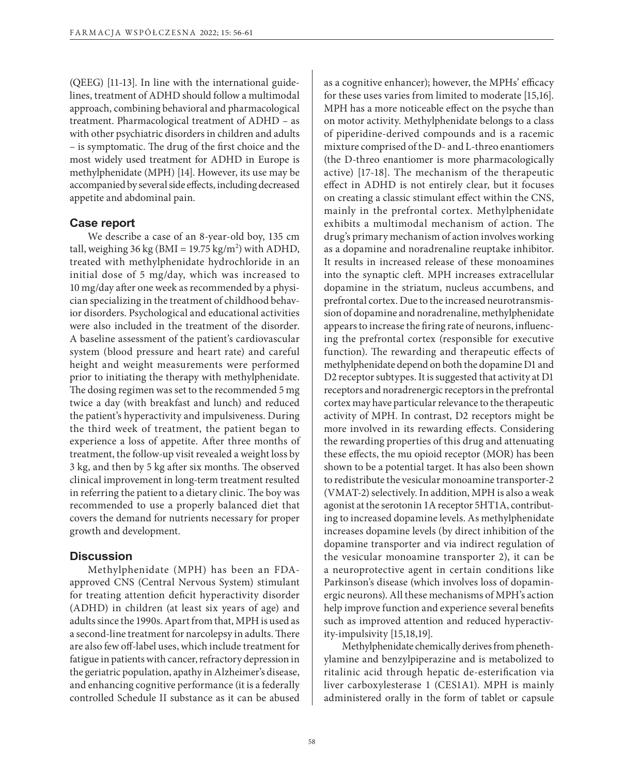(QEEG) [11-13]. In line with the international guidelines, treatment of ADHD should follow a multimodal approach, combining behavioral and pharmacological treatment. Pharmacological treatment of ADHD – as with other psychiatric disorders in children and adults – is symptomatic. The drug of the first choice and the most widely used treatment for ADHD in Europe is methylphenidate (MPH) [14]. However, its use may be accompanied by several side effects, including decreased appetite and abdominal pain.

#### **Case report**

We describe a case of an 8-year-old boy, 135 cm tall, weighing 36 kg (BMI = 19.75 kg/m<sup>2</sup>) with ADHD, treated with methylphenidate hydrochloride in an initial dose of 5 mg/day, which was increased to 10 mg/day after one week as recommended by a physician specializing in the treatment of childhood behavior disorders. Psychological and educational activities were also included in the treatment of the disorder. A baseline assessment of the patient's cardiovascular system (blood pressure and heart rate) and careful height and weight measurements were performed prior to initiating the therapy with methylphenidate. The dosing regimen was set to the recommended 5 mg twice a day (with breakfast and lunch) and reduced the patient's hyperactivity and impulsiveness. During the third week of treatment, the patient began to experience a loss of appetite. After three months of treatment, the follow-up visit revealed a weight loss by 3 kg, and then by 5 kg after six months. The observed clinical improvement in long-term treatment resulted in referring the patient to a dietary clinic. The boy was recommended to use a properly balanced diet that covers the demand for nutrients necessary for proper growth and development.

#### **Discussion**

Methylphenidate (MPH) has been an FDAapproved CNS (Central Nervous System) stimulant for treating attention deficit hyperactivity disorder (ADHD) in children (at least six years of age) and adults since the 1990s. Apart from that, MPH is used as a second-line treatment for narcolepsy in adults. There are also few off-label uses, which include treatment for fatigue in patients with cancer, refractory depression in the geriatric population, apathy in Alzheimer's disease, and enhancing cognitive performance (it is a federally controlled Schedule II substance as it can be abused as a cognitive enhancer); however, the MPHs' efficacy for these uses varies from limited to moderate [15,16]. MPH has a more noticeable effect on the psyche than on motor activity. Methylphenidate belongs to a class of piperidine-derived compounds and is a racemic mixture comprised of the D- and L-threo enantiomers (the D-threo enantiomer is more pharmacologically active) [17-18]. The mechanism of the therapeutic effect in ADHD is not entirely clear, but it focuses on creating a classic stimulant effect within the CNS, mainly in the prefrontal cortex. Methylphenidate exhibits a multimodal mechanism of action. The drug's primary mechanism of action involves working as a dopamine and noradrenaline reuptake inhibitor. It results in increased release of these monoamines into the synaptic cleft. MPH increases extracellular dopamine in the striatum, nucleus accumbens, and prefrontal cortex. Due to the increased neurotransmission of dopamine and noradrenaline, methylphenidate appears to increase the firing rate of neurons, influencing the prefrontal cortex (responsible for executive function). The rewarding and therapeutic effects of methylphenidate depend on both the dopamine D1 and D2 receptor subtypes. It is suggested that activity at D1 receptors and noradrenergic receptors in the prefrontal cortex may have particular relevance to the therapeutic activity of MPH. In contrast, D2 receptors might be more involved in its rewarding effects. Considering the rewarding properties of this drug and attenuating these effects, the mu opioid receptor (MOR) has been shown to be a potential target. It has also been shown to redistribute the vesicular monoamine transporter-2 (VMAT-2) selectively. In addition, MPH is also a weak agonist at the serotonin 1A receptor 5HT1A, contributing to increased dopamine levels. As methylphenidate increases dopamine levels (by direct inhibition of the dopamine transporter and via indirect regulation of the vesicular monoamine transporter 2), it can be a neuroprotective agent in certain conditions like Parkinson's disease (which involves loss of dopaminergic neurons). All these mechanisms of MPH's action help improve function and experience several benefits such as improved attention and reduced hyperactivity‐impulsivity [15,18,19].

Methylphenidate chemically derives from phenethylamine and benzylpiperazine and is metabolized to ritalinic acid through hepatic de-esterification via liver carboxylesterase 1 (CES1A1). MPH is mainly administered orally in the form of tablet or capsule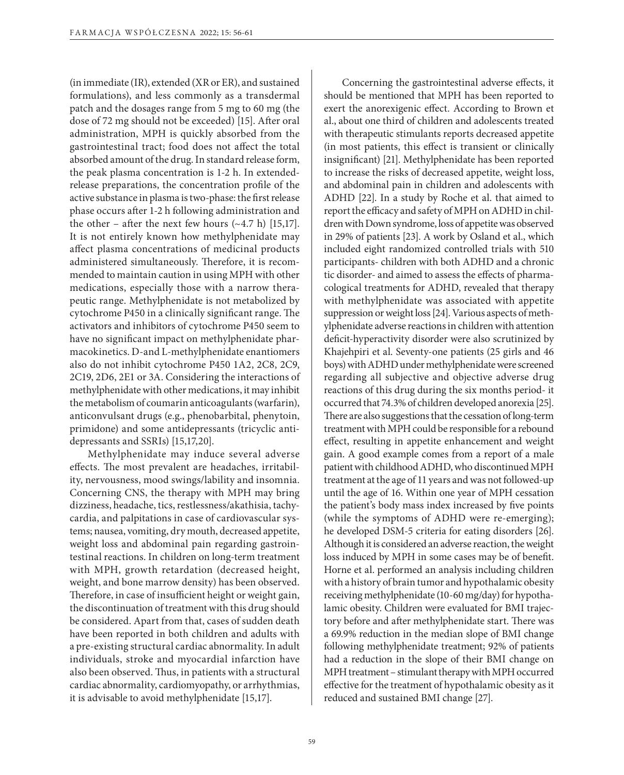(in immediate (IR), extended (XR or ER), and sustained formulations), and less commonly as a transdermal patch and the dosages range from 5 mg to 60 mg (the dose of 72 mg should not be exceeded) [15]. After oral administration, MPH is quickly absorbed from the gastrointestinal tract; food does not affect the total absorbed amount of the drug. In standard release form, the peak plasma concentration is 1-2 h. In extendedrelease preparations, the concentration profile of the active substance in plasma is two-phase: the first release phase occurs after 1-2 h following administration and the other – after the next few hours  $(-4.7 \text{ h})$  [15,17]. It is not entirely known how methylphenidate may affect plasma concentrations of medicinal products administered simultaneously. Therefore, it is recommended to maintain caution in using MPH with other medications, especially those with a narrow therapeutic range. Methylphenidate is not metabolized by cytochrome P450 in a clinically significant range. The activators and inhibitors of cytochrome P450 seem to have no significant impact on methylphenidate pharmacokinetics. D-and L-methylphenidate enantiomers also do not inhibit cytochrome P450 1A2, 2C8, 2C9, 2C19, 2D6, 2E1 or 3A. Considering the interactions of methylphenidate with other medications, it may inhibit the metabolism of coumarin anticoagulants (warfarin), anticonvulsant drugs (e.g., phenobarbital, phenytoin, primidone) and some antidepressants (tricyclic antidepressants and SSRIs) [15,17,20].

Methylphenidate may induce several adverse effects. The most prevalent are headaches, irritability, nervousness, mood swings/lability and insomnia. Concerning CNS, the therapy with MPH may bring dizziness, headache, tics, restlessness/akathisia, tachycardia, and palpitations in case of cardiovascular systems; nausea, vomiting, dry mouth, decreased appetite, weight loss and abdominal pain regarding gastrointestinal reactions. In children on long-term treatment with MPH, growth retardation (decreased height, weight, and bone marrow density) has been observed. Therefore, in case of insufficient height or weight gain, the discontinuation of treatment with this drug should be considered. Apart from that, cases of sudden death have been reported in both children and adults with a pre-existing structural cardiac abnormality. In adult individuals, stroke and myocardial infarction have also been observed. Thus, in patients with a structural cardiac abnormality, cardiomyopathy, or arrhythmias, it is advisable to avoid methylphenidate [15,17].

Concerning the gastrointestinal adverse effects, it should be mentioned that MPH has been reported to exert the anorexigenic effect. According to Brown et al., about one third of children and adolescents treated with therapeutic stimulants reports decreased appetite (in most patients, this effect is transient or clinically insignificant) [21]. Methylphenidate has been reported to increase the risks of decreased appetite, weight loss, and abdominal pain in children and adolescents with ADHD [22]. In a study by Roche et al. that aimed to report the efficacy and safety of MPH on ADHD in children with Down syndrome, loss of appetite was observed in 29% of patients [23]. A work by Osland et al., which included eight randomized controlled trials with 510 participants- children with both ADHD and a chronic tic disorder- and aimed to assess the effects of pharmacological treatments for ADHD, revealed that therapy with methylphenidate was associated with appetite suppression or weight loss [24]. Various aspects of methylphenidate adverse reactions in children with attention deficit-hyperactivity disorder were also scrutinized by Khajehpiri et al. Seventy-one patients (25 girls and 46 boys) with ADHD under methylphenidate were screened regarding all subjective and objective adverse drug reactions of this drug during the six months period- it occurred that 74.3% of children developed anorexia [25]. There are also suggestions that the cessation of long-term treatment with MPH could be responsible for a rebound effect, resulting in appetite enhancement and weight gain. A good example comes from a report of a male patient with childhood ADHD, who discontinued MPH treatment at the age of 11 years and was not followed-up until the age of 16. Within one year of MPH cessation the patient's body mass index increased by five points (while the symptoms of ADHD were re-emerging); he developed DSM-5 criteria for eating disorders [26]. Although it is considered an adverse reaction, the weight loss induced by MPH in some cases may be of benefit. Horne et al. performed an analysis including children with a history of brain tumor and hypothalamic obesity receiving methylphenidate (10-60 mg/day) for hypothalamic obesity. Children were evaluated for BMI trajectory before and after methylphenidate start. There was a 69.9% reduction in the median slope of BMI change following methylphenidate treatment; 92% of patients had a reduction in the slope of their BMI change on MPH treatment – stimulant therapy with MPH occurred effective for the treatment of hypothalamic obesity as it reduced and sustained BMI change [27].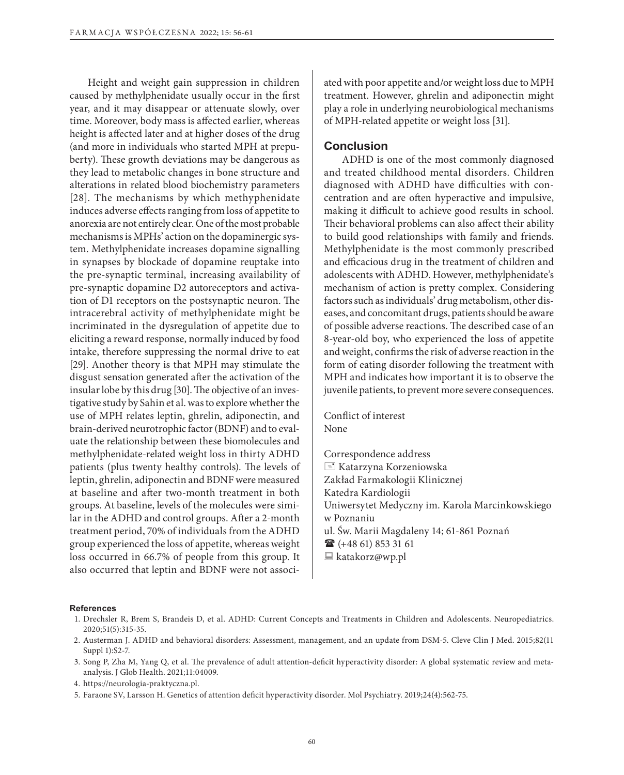Height and weight gain suppression in children caused by methylphenidate usually occur in the first year, and it may disappear or attenuate slowly, over time. Moreover, body mass is affected earlier, whereas height is affected later and at higher doses of the drug (and more in individuals who started MPH at prepuberty). These growth deviations may be dangerous as they lead to metabolic changes in bone structure and alterations in related blood biochemistry parameters [28]. The mechanisms by which methyphenidate induces adverse effects ranging from loss of appetite to anorexia are not entirely clear. One of the most probable mechanisms is MPHs' action on the dopaminergic system. Methylphenidate increases dopamine signalling in synapses by blockade of dopamine reuptake into the pre-synaptic terminal, increasing availability of pre-synaptic dopamine D2 autoreceptors and activation of D1 receptors on the postsynaptic neuron. The intracerebral activity of methylphenidate might be incriminated in the dysregulation of appetite due to eliciting a reward response, normally induced by food intake, therefore suppressing the normal drive to eat [29]. Another theory is that MPH may stimulate the disgust sensation generated after the activation of the insular lobe by this drug [30]. The objective of an investigative study by Sahin et al. was to explore whether the use of MPH relates leptin, ghrelin, adiponectin, and brain-derived neurotrophic factor (BDNF) and to evaluate the relationship between these biomolecules and methylphenidate-related weight loss in thirty ADHD patients (plus twenty healthy controls). The levels of leptin, ghrelin, adiponectin and BDNF were measured at baseline and after two-month treatment in both groups. At baseline, levels of the molecules were similar in the ADHD and control groups. After a 2-month treatment period, 70% of individuals from the ADHD group experienced the loss of appetite, whereas weight loss occurred in 66.7% of people from this group. It also occurred that leptin and BDNF were not associated with poor appetite and/or weight loss due to MPH treatment. However, ghrelin and adiponectin might play a role in underlying neurobiological mechanisms of MPH-related appetite or weight loss [31].

#### **Conclusion**

ADHD is one of the most commonly diagnosed and treated childhood mental disorders. Children diagnosed with ADHD have difficulties with concentration and are often hyperactive and impulsive, making it difficult to achieve good results in school. Their behavioral problems can also affect their ability to build good relationships with family and friends. Methylphenidate is the most commonly prescribed and efficacious drug in the treatment of children and adolescents with ADHD. However, methylphenidate's mechanism of action is pretty complex. Considering factors such as individuals' drug metabolism, other diseases, and concomitant drugs, patients should be aware of possible adverse reactions. The described case of an 8-year-old boy, who experienced the loss of appetite and weight, confirms the risk of adverse reaction in the form of eating disorder following the treatment with MPH and indicates how important it is to observe the juvenile patients, to prevent more severe consequences.

Conflict of interest None

Correspondence address  $\equiv$  Katarzyna Korzeniowska Zakład Farmakologii Klinicznej Katedra Kardiologii Uniwersytet Medyczny im. Karola Marcinkowskiego w Poznaniu ul. Św. Marii Magdaleny 14; 61-861 Poznań  $\mathbf{\widehat{a}}$  (+48 61) 853 31 61  $\Box$  katakorz@wp.pl

#### **References**

- 1. Drechsler R, Brem S, Brandeis D, et al. ADHD: Current Concepts and Treatments in Children and Adolescents. Neuropediatrics. 2020;51(5):315-35.
- 2. Austerman J. ADHD and behavioral disorders: Assessment, management, and an update from DSM-5. Cleve Clin J Med. 2015;82(11 Suppl 1):S2-7.
- 3. Song P, Zha M, Yang Q, et al. The prevalence of adult attention-deficit hyperactivity disorder: A global systematic review and metaanalysis. J Glob Health. 2021;11:04009.
- 4. https://neurologia-praktyczna.pl.
- 5. Faraone SV, Larsson H. Genetics of attention deficit hyperactivity disorder. Mol Psychiatry. 2019;24(4):562-75.